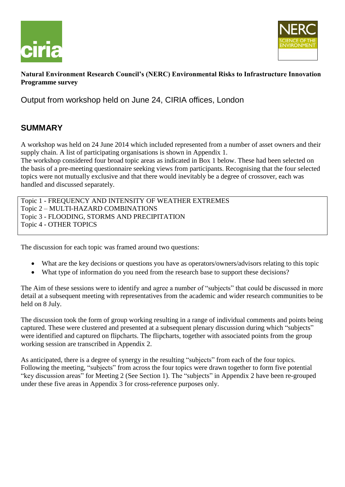



#### **Natural Environment Research Council's (NERC) Environmental Risks to Infrastructure Innovation Programme survey**

Output from workshop held on June 24, CIRIA offices, London

## **SUMMARY**

A workshop was held on 24 June 2014 which included represented from a number of asset owners and their supply chain. A list of participating organisations is shown in Appendix 1.

The workshop considered four broad topic areas as indicated in Box 1 below. These had been selected on the basis of a pre-meeting questionnaire seeking views from participants. Recognising that the four selected topics were not mutually exclusive and that there would inevitably be a degree of crossover, each was handled and discussed separately.

Topic 1 - FREQUENCY AND INTENSITY OF WEATHER EXTREMES Topic 2 – MULTI-HAZARD COMBINATIONS Topic 3 - FLOODING, STORMS AND PRECIPITATION Topic 4 - OTHER TOPICS

The discussion for each topic was framed around two questions:

- What are the key decisions or questions you have as operators/owners/advisors relating to this topic
- What type of information do you need from the research base to support these decisions?

The Aim of these sessions were to identify and agree a number of "subjects" that could be discussed in more detail at a subsequent meeting with representatives from the academic and wider research communities to be held on 8 July.

The discussion took the form of group working resulting in a range of individual comments and points being captured. These were clustered and presented at a subsequent plenary discussion during which "subjects" were identified and captured on flipcharts. The flipcharts, together with associated points from the group working session are transcribed in Appendix 2.

As anticipated, there is a degree of synergy in the resulting "subjects" from each of the four topics. Following the meeting, "subjects" from across the four topics were drawn together to form five potential "key discussion areas" for Meeting 2 (See Section 1). The "subjects" in Appendix 2 have been re-grouped under these five areas in Appendix 3 for cross-reference purposes only.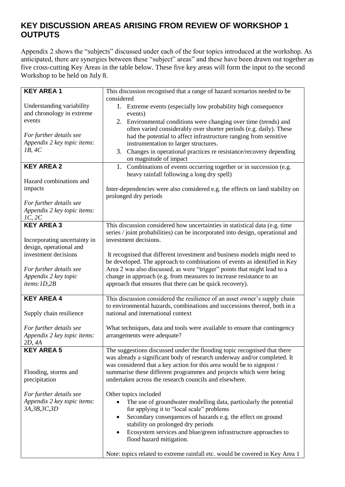#### **KEY DISCUSSION AREAS ARISING FROM REVIEW OF WORKSHOP 1 OUTPUTS**

Appendix 2 shows the "subjects" discussed under each of the four topics introduced at the workshop. As anticipated, there are synergies between these "subject" areas" and these have been drawn out together as five cross-cutting Key Areas in the table below. These five key areas will form the input to the second Workshop to be held on July 8.

| <b>KEY AREA 1</b>                                       | This discussion recognised that a range of hazard scenarios needed to be                                |
|---------------------------------------------------------|---------------------------------------------------------------------------------------------------------|
|                                                         | considered                                                                                              |
| Understanding variability                               | 1. Extreme events (especially low probability high consequence                                          |
| and chronology in extreme                               | events)                                                                                                 |
| events                                                  | 2. Environmental conditions were changing over time (trends) and                                        |
|                                                         | often varied considerably over shorter periods (e.g. daily). These                                      |
| For further details see                                 | had the potential to affect infrastructure ranging from sensitive                                       |
| Appendix 2 key topic items:                             | instrumentation to larger structures.                                                                   |
| 1B, 4C                                                  | 3. Changes in operational practices re resistance/recovery depending<br>on magnitude of impact          |
| <b>KEY AREA 2</b>                                       | 1. Combinations of events occurring together or in succession (e.g.                                     |
|                                                         | heavy rainfall following a long dry spell)                                                              |
| Hazard combinations and                                 |                                                                                                         |
| impacts                                                 | Inter-dependencies were also considered e.g. the effects on land stability on                           |
|                                                         | prolonged dry periods                                                                                   |
| For further details see                                 |                                                                                                         |
| Appendix 2 key topic items:                             |                                                                                                         |
| 1C, 2C                                                  |                                                                                                         |
| <b>KEY AREA 3</b>                                       | This discussion considered how uncertainties in statistical data (e.g. time                             |
|                                                         | series / joint probabilities) can be incorporated into design, operational and<br>investment decisions. |
| Incorporating uncertainty in<br>design, operational and |                                                                                                         |
| investment decisions                                    | It recognised that different investment and business models might need to                               |
|                                                         | be developed. The approach to combinations of events as identified in Key                               |
| For further details see                                 | Area 2 was also discussed, as were "trigger" points that might lead to a                                |
| Appendix 2 key topic                                    | change in approach (e.g. from measures to increase resistance to an                                     |
| items: 1D,2B                                            | approach that ensures that there can be quick recovery).                                                |
|                                                         |                                                                                                         |
| <b>KEY AREA 4</b>                                       | This discussion considered the resilience of an asset owner's supply chain                              |
|                                                         | to environmental hazards, combinations and successions thereof, both in a                               |
| Supply chain resilience                                 | national and international context                                                                      |
|                                                         |                                                                                                         |
| For further details see                                 | What techniques, data and tools were available to ensure that contingency                               |
| Appendix 2 key topic items:<br>2D, 4A                   | arrangements were adequate?                                                                             |
| <b>KEY AREA 5</b>                                       | The suggestions discussed under the flooding topic recognised that there                                |
|                                                         | was already a significant body of research underway and/or completed. It                                |
|                                                         | was considered that a key action for this area would be to signpost /                                   |
| Flooding, storms and                                    | summarise these different programmes and projects which were being                                      |
| precipitation                                           | undertaken across the research councils and elsewhere.                                                  |
|                                                         |                                                                                                         |
| For further details see                                 | Other topics included                                                                                   |
| Appendix 2 key topic items:                             | The use of groundwater modelling data, particularly the potential                                       |
| 3A, 3B, 3C, 3D                                          | for applying it to "local scale" problems                                                               |
|                                                         | Secondary consequences of hazards e.g. the effect on ground<br>٠                                        |
|                                                         | stability on prolonged dry periods                                                                      |
|                                                         | Ecosystem services and blue/green infrastructure approaches to                                          |
|                                                         | flood hazard mitigation.                                                                                |
|                                                         |                                                                                                         |
|                                                         | Note: topics related to extreme rainfall etc. would be covered in Key Area 1                            |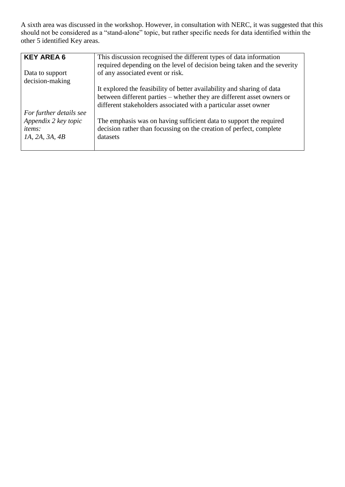A sixth area was discussed in the workshop. However, in consultation with NERC, it was suggested that this should not be considered as a "stand-alone" topic, but rather specific needs for data identified within the other 5 identified Key areas.

| <b>KEY AREA 6</b>       | This discussion recognised the different types of data information       |
|-------------------------|--------------------------------------------------------------------------|
|                         | required depending on the level of decision being taken and the severity |
| Data to support         | of any associated event or risk.                                         |
| decision-making         |                                                                          |
|                         | It explored the feasibility of better availability and sharing of data   |
|                         | between different parties - whether they are different asset owners or   |
|                         | different stakeholders associated with a particular asset owner          |
| For further details see |                                                                          |
| Appendix 2 key topic    | The emphasis was on having sufficient data to support the required       |
| <i>items:</i>           | decision rather than focussing on the creation of perfect, complete      |
| <i>IA</i> , 2A, 3A, 4B  | datasets                                                                 |
|                         |                                                                          |
|                         |                                                                          |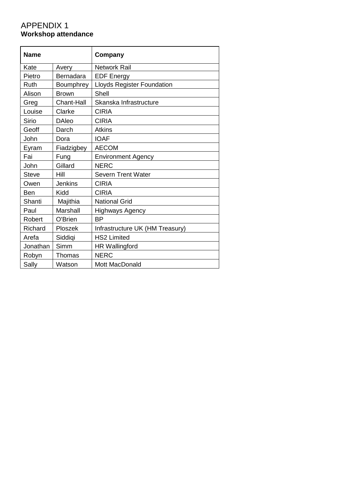### APPENDIX 1 **Workshop attendance**

| <b>Name</b>  |                   | Company                           |
|--------------|-------------------|-----------------------------------|
| Kate         | Avery             | <b>Network Rail</b>               |
| Pietro       | Bernadara         | <b>EDF Energy</b>                 |
| Ruth         | Boumphrey         | <b>Lloyds Register Foundation</b> |
| Alison       | <b>Brown</b>      | Shell                             |
| Greg         | <b>Chant-Hall</b> | Skanska Infrastructure            |
| Louise       | Clarke            | <b>CIRIA</b>                      |
| <b>Sirio</b> | <b>DAleo</b>      | <b>CIRIA</b>                      |
| Geoff        | Darch             | <b>Atkins</b>                     |
| John         | Dora              | <b>IOAF</b>                       |
| Eyram        | Fiadzigbey        | <b>AECOM</b>                      |
| Fai          | Fung              | <b>Environment Agency</b>         |
| John         | Gillard           | <b>NERC</b>                       |
| <b>Steve</b> | Hill              | <b>Severn Trent Water</b>         |
| Owen         | Jenkins           | <b>CIRIA</b>                      |
| Ben          | Kidd              | <b>CIRIA</b>                      |
| Shanti       | Majithia          | <b>National Grid</b>              |
| Paul         | Marshall          | <b>Highways Agency</b>            |
| Robert       | O'Brien           | <b>BP</b>                         |
| Richard      | Ploszek           | Infrastructure UK (HM Treasury)   |
| Arefa        | Siddigi           | <b>HS2 Limited</b>                |
| Jonathan     | Simm              | <b>HR Wallingford</b>             |
| Robyn        | Thomas            | <b>NERC</b>                       |
| Sally        | Watson            | <b>Mott MacDonald</b>             |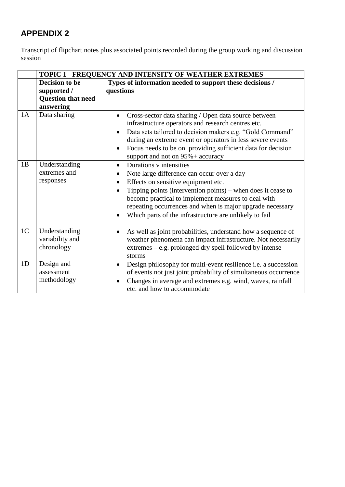# **APPENDIX 2**

Transcript of flipchart notes plus associated points recorded during the group working and discussion session

|                | TOPIC 1 - FREQUENCY AND INTENSITY OF WEATHER EXTREMES                   |                                                                                                                                                                                                                                                                                                                                                                                      |  |
|----------------|-------------------------------------------------------------------------|--------------------------------------------------------------------------------------------------------------------------------------------------------------------------------------------------------------------------------------------------------------------------------------------------------------------------------------------------------------------------------------|--|
|                | Decision to be<br>supported /<br><b>Question that need</b><br>answering | Types of information needed to support these decisions /<br>questions                                                                                                                                                                                                                                                                                                                |  |
| 1A             | Data sharing                                                            | Cross-sector data sharing / Open data source between<br>infrastructure operators and research centres etc.<br>Data sets tailored to decision makers e.g. "Gold Command"<br>during an extreme event or operators in less severe events<br>Focus needs to be on providing sufficient data for decision<br>support and not on 95% + accuracy                                            |  |
| 1B             | Understanding<br>extremes and<br>responses                              | Durations v intensities<br>$\bullet$<br>Note large difference can occur over a day<br>Effects on sensitive equipment etc.<br>$\bullet$<br>Tipping points (intervention points) – when does it cease to<br>become practical to implement measures to deal with<br>repeating occurrences and when is major upgrade necessary<br>Which parts of the infrastructure are unlikely to fail |  |
| 1 <sup>C</sup> | Understanding<br>variability and<br>chronology                          | As well as joint probabilities, understand how a sequence of<br>$\bullet$<br>weather phenomena can impact infrastructure. Not necessarily<br>extremes – e.g. prolonged dry spell followed by intense<br>storms                                                                                                                                                                       |  |
| 1D             | Design and<br>assessment<br>methodology                                 | Design philosophy for multi-event resilience i.e. a succession<br>$\bullet$<br>of events not just joint probability of simultaneous occurrence<br>Changes in average and extremes e.g. wind, waves, rainfall<br>etc. and how to accommodate                                                                                                                                          |  |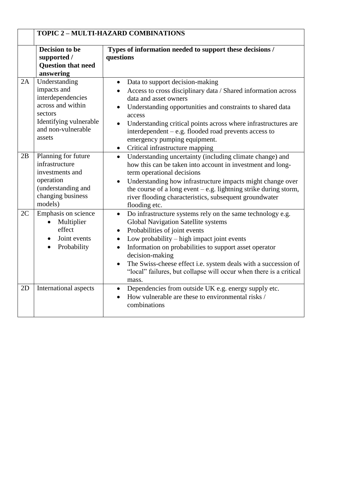|    | TOPIC 2 - MULTI-HAZARD COMBINATIONS                                                                                                         |                                                                                                                                                                                                                                                                                                                                                                                                                                                              |
|----|---------------------------------------------------------------------------------------------------------------------------------------------|--------------------------------------------------------------------------------------------------------------------------------------------------------------------------------------------------------------------------------------------------------------------------------------------------------------------------------------------------------------------------------------------------------------------------------------------------------------|
|    | Decision to be<br>supported /<br><b>Question that need</b><br>answering                                                                     | Types of information needed to support these decisions /<br>questions                                                                                                                                                                                                                                                                                                                                                                                        |
| 2A | Understanding<br>impacts and<br>interdependencies<br>across and within<br>sectors<br>Identifying vulnerable<br>and non-vulnerable<br>assets | Data to support decision-making<br>$\bullet$<br>Access to cross disciplinary data / Shared information across<br>data and asset owners<br>Understanding opportunities and constraints to shared data<br>$\bullet$<br>access<br>Understanding critical points across where infrastructures are<br>interdependent – e.g. flooded road prevents access to<br>emergency pumping equipment.<br>Critical infrastructure mapping<br>$\bullet$                       |
| 2B | Planning for future<br>infrastructure<br>investments and<br>operation<br>(understanding and<br>changing business<br>models)                 | Understanding uncertainty (including climate change) and<br>$\bullet$<br>how this can be taken into account in investment and long-<br>term operational decisions<br>Understanding how infrastructure impacts might change over<br>$\bullet$<br>the course of a long event $-e.g.$ lightning strike during storm,<br>river flooding characteristics, subsequent groundwater<br>flooding etc.                                                                 |
| 2C | Emphasis on science<br>Multiplier<br>$\bullet$<br>effect<br>Joint events<br>Probability                                                     | Do infrastructure systems rely on the same technology e.g.<br>$\bullet$<br><b>Global Navigation Satellite systems</b><br>Probabilities of joint events<br>Low probability – high impact joint events<br>Information on probabilities to support asset operator<br>$\bullet$<br>decision-making<br>The Swiss-cheese effect i.e. system deals with a succession of<br>$\bullet$<br>"local" failures, but collapse will occur when there is a critical<br>mass. |
| 2D | International aspects                                                                                                                       | Dependencies from outside UK e.g. energy supply etc.<br>$\bullet$<br>How vulnerable are these to environmental risks /<br>$\bullet$<br>combinations                                                                                                                                                                                                                                                                                                          |